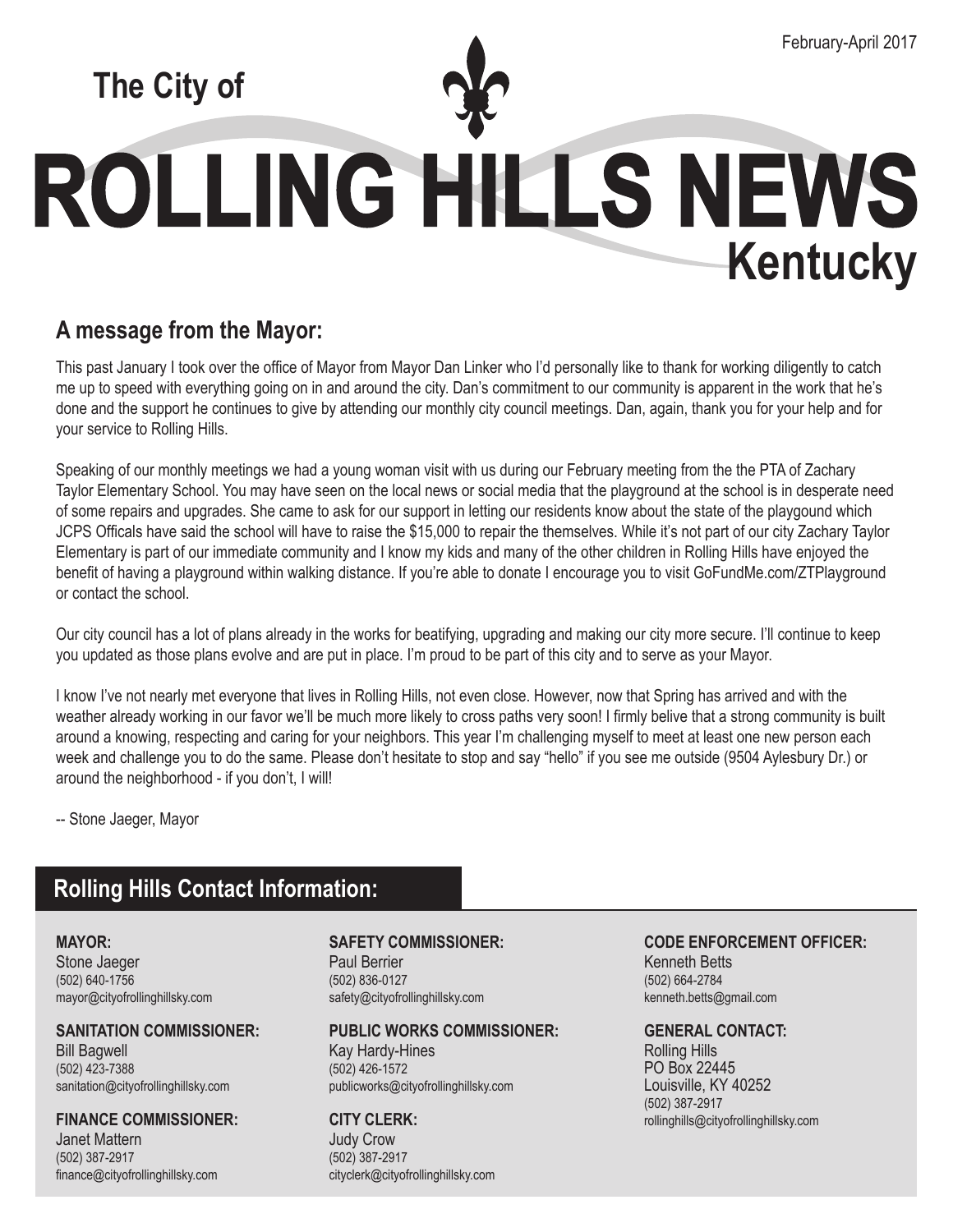# **The City of**

# ROLLING HILLS NEWS **Kentucky**

## **A message from the Mayor:**

This past January I took over the office of Mayor from Mayor Dan Linker who I'd personally like to thank for working diligently to catch me up to speed with everything going on in and around the city. Dan's commitment to our community is apparent in the work that he's done and the support he continues to give by attending our monthly city council meetings. Dan, again, thank you for your help and for your service to Rolling Hills.

Speaking of our monthly meetings we had a young woman visit with us during our February meeting from the the PTA of Zachary Taylor Elementary School. You may have seen on the local news or social media that the playground at the school is in desperate need of some repairs and upgrades. She came to ask for our support in letting our residents know about the state of the playgound which JCPS Officals have said the school will have to raise the \$15,000 to repair the themselves. While it's not part of our city Zachary Taylor Elementary is part of our immediate community and I know my kids and many of the other children in Rolling Hills have enjoyed the benefit of having a playground within walking distance. If you're able to donate I encourage you to visit GoFundMe.com/ZTPlayground or contact the school.

Our city council has a lot of plans already in the works for beatifying, upgrading and making our city more secure. I'll continue to keep you updated as those plans evolve and are put in place. I'm proud to be part of this city and to serve as your Mayor.

I know I've not nearly met everyone that lives in Rolling Hills, not even close. However, now that Spring has arrived and with the weather already working in our favor we'll be much more likely to cross paths very soon! I firmly belive that a strong community is built around a knowing, respecting and caring for your neighbors. This year I'm challenging myself to meet at least one new person each week and challenge you to do the same. Please don't hesitate to stop and say "hello" if you see me outside (9504 Aylesbury Dr.) or around the neighborhood - if you don't, I will!

-- Stone Jaeger, Mayor

## **Rolling Hills Contact Information:**

**Mayor:** Stone Jaeger (502) 640-1756 mayor@cityofrollinghillsky.com

**Sanitation COMMISSIONER:** Bill Bagwell (502) 423-7388 sanitation@cityofrollinghillsky.com

**Finance COMMISSIONER:** Janet Mattern (502) 387-2917 finance@cityofrollinghillsky.com

### **Safety COMMISSIONER:**

Paul Berrier (502) 836-0127 safety@cityofrollinghillsky.com

### **Public Works COMMISSIONER:**

Kay Hardy-Hines (502) 426-1572 publicworks@cityofrollinghillsky.com

## **City Clerk:**

Judy Crow (502) 387-2917 cityclerk@cityofrollinghillsky.com

#### **Code Enforcement OFFICER:** Kenneth Betts

(502) 664-2784 kenneth.betts@gmail.com

### **GENERAL CONTACT:**

Rolling Hills PO Box 22445 Louisville, KY 40252 (502) 387-2917 rollinghills@cityofrollinghillsky.com